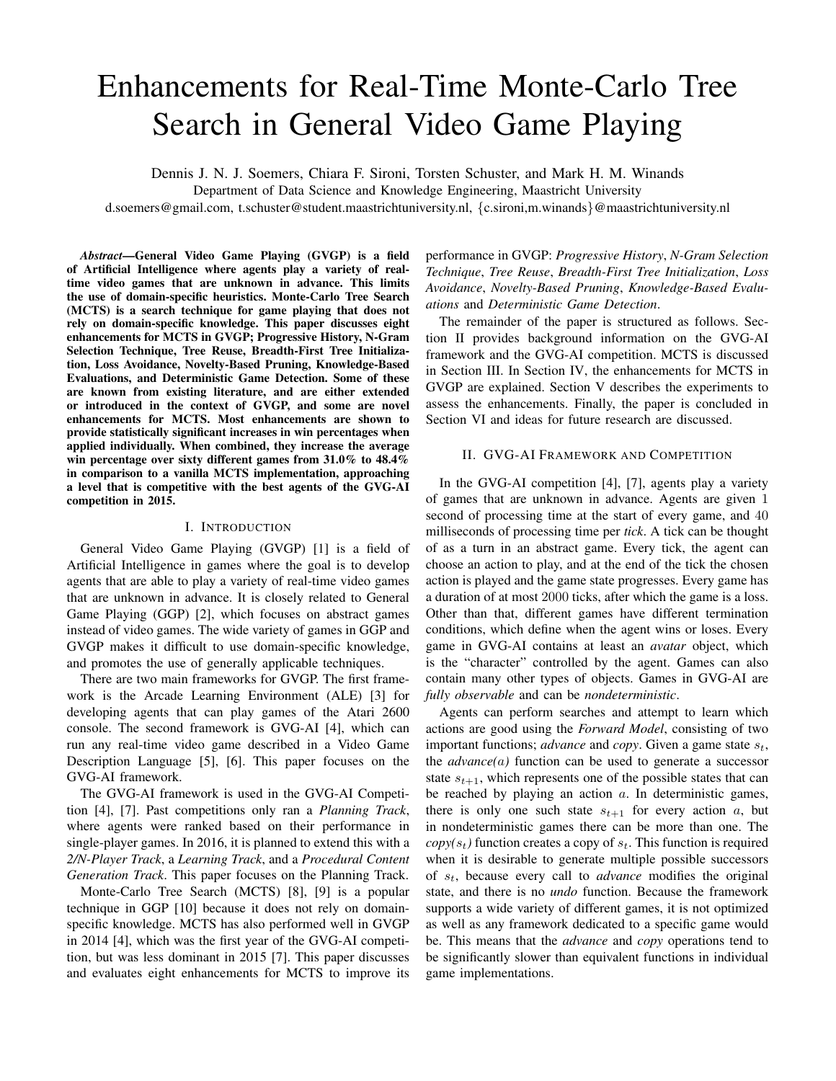# Enhancements for Real-Time Monte-Carlo Tree Search in General Video Game Playing

Dennis J. N. J. Soemers, Chiara F. Sironi, Torsten Schuster, and Mark H. M. Winands

Department of Data Science and Knowledge Engineering, Maastricht University

d.soemers@gmail.com, t.schuster@student.maastrichtuniversity.nl, {c.sironi,m.winands}@maastrichtuniversity.nl

*Abstract*—General Video Game Playing (GVGP) is a field of Artificial Intelligence where agents play a variety of realtime video games that are unknown in advance. This limits the use of domain-specific heuristics. Monte-Carlo Tree Search (MCTS) is a search technique for game playing that does not rely on domain-specific knowledge. This paper discusses eight enhancements for MCTS in GVGP; Progressive History, N-Gram Selection Technique, Tree Reuse, Breadth-First Tree Initialization, Loss Avoidance, Novelty-Based Pruning, Knowledge-Based Evaluations, and Deterministic Game Detection. Some of these are known from existing literature, and are either extended or introduced in the context of GVGP, and some are novel enhancements for MCTS. Most enhancements are shown to provide statistically significant increases in win percentages when applied individually. When combined, they increase the average win percentage over sixty different games from 31.0% to 48.4% in comparison to a vanilla MCTS implementation, approaching a level that is competitive with the best agents of the GVG-AI competition in 2015.

## I. INTRODUCTION

General Video Game Playing (GVGP) [1] is a field of Artificial Intelligence in games where the goal is to develop agents that are able to play a variety of real-time video games that are unknown in advance. It is closely related to General Game Playing (GGP) [2], which focuses on abstract games instead of video games. The wide variety of games in GGP and GVGP makes it difficult to use domain-specific knowledge, and promotes the use of generally applicable techniques.

There are two main frameworks for GVGP. The first framework is the Arcade Learning Environment (ALE) [3] for developing agents that can play games of the Atari 2600 console. The second framework is GVG-AI [4], which can run any real-time video game described in a Video Game Description Language [5], [6]. This paper focuses on the GVG-AI framework.

The GVG-AI framework is used in the GVG-AI Competition [4], [7]. Past competitions only ran a *Planning Track*, where agents were ranked based on their performance in single-player games. In 2016, it is planned to extend this with a *2/N-Player Track*, a *Learning Track*, and a *Procedural Content Generation Track*. This paper focuses on the Planning Track.

Monte-Carlo Tree Search (MCTS) [8], [9] is a popular technique in GGP [10] because it does not rely on domainspecific knowledge. MCTS has also performed well in GVGP in 2014 [4], which was the first year of the GVG-AI competition, but was less dominant in 2015 [7]. This paper discusses and evaluates eight enhancements for MCTS to improve its

## performance in GVGP: *Progressive History*, *N-Gram Selection Technique*, *Tree Reuse*, *Breadth-First Tree Initialization*, *Loss Avoidance*, *Novelty-Based Pruning*, *Knowledge-Based Evaluations* and *Deterministic Game Detection*.

The remainder of the paper is structured as follows. Section II provides background information on the GVG-AI framework and the GVG-AI competition. MCTS is discussed in Section III. In Section IV, the enhancements for MCTS in GVGP are explained. Section V describes the experiments to assess the enhancements. Finally, the paper is concluded in Section VI and ideas for future research are discussed.

## II. GVG-AI FRAMEWORK AND COMPETITION

In the GVG-AI competition [4], [7], agents play a variety of games that are unknown in advance. Agents are given 1 second of processing time at the start of every game, and 40 milliseconds of processing time per *tick*. A tick can be thought of as a turn in an abstract game. Every tick, the agent can choose an action to play, and at the end of the tick the chosen action is played and the game state progresses. Every game has a duration of at most 2000 ticks, after which the game is a loss. Other than that, different games have different termination conditions, which define when the agent wins or loses. Every game in GVG-AI contains at least an *avatar* object, which is the "character" controlled by the agent. Games can also contain many other types of objects. Games in GVG-AI are *fully observable* and can be *nondeterministic*.

Agents can perform searches and attempt to learn which actions are good using the *Forward Model*, consisting of two important functions; *advance* and *copy*. Given a game state  $s_t$ , the *advance(*a*)* function can be used to generate a successor state  $s_{t+1}$ , which represents one of the possible states that can be reached by playing an action  $a$ . In deterministic games, there is only one such state  $s_{t+1}$  for every action a, but in nondeterministic games there can be more than one. The  $copy(s_t)$  function creates a copy of  $s_t$ . This function is required when it is desirable to generate multiple possible successors of  $s_t$ , because every call to *advance* modifies the original state, and there is no *undo* function. Because the framework supports a wide variety of different games, it is not optimized as well as any framework dedicated to a specific game would be. This means that the *advance* and *copy* operations tend to be significantly slower than equivalent functions in individual game implementations.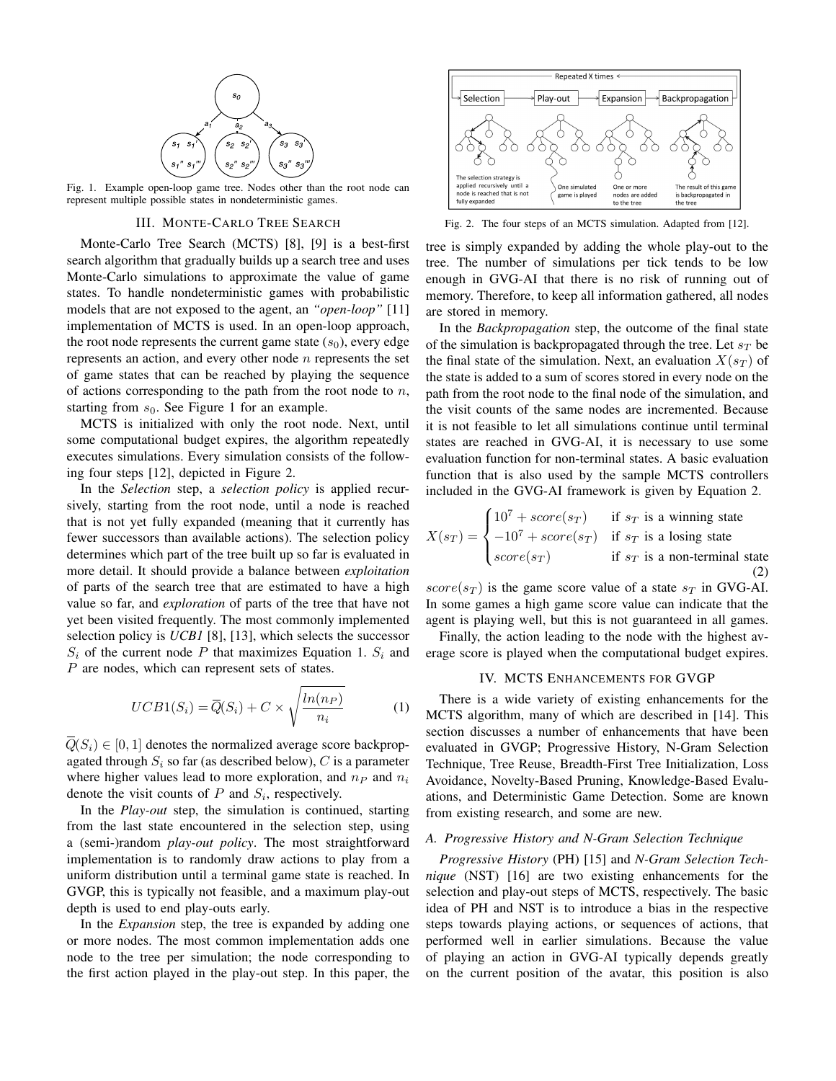

Fig. 1. Example open-loop game tree. Nodes other than the root node can represent multiple possible states in nondeterministic games.

## III. MONTE-CARLO TREE SEARCH

Monte-Carlo Tree Search (MCTS) [8], [9] is a best-first search algorithm that gradually builds up a search tree and uses Monte-Carlo simulations to approximate the value of game states. To handle nondeterministic games with probabilistic models that are not exposed to the agent, an *"open-loop"* [11] implementation of MCTS is used. In an open-loop approach, the root node represents the current game state  $(s_0)$ , every edge represents an action, and every other node  $n$  represents the set of game states that can be reached by playing the sequence of actions corresponding to the path from the root node to  $n$ , starting from  $s_0$ . See Figure 1 for an example.

MCTS is initialized with only the root node. Next, until some computational budget expires, the algorithm repeatedly executes simulations. Every simulation consists of the following four steps [12], depicted in Figure 2.

In the *Selection* step, a *selection policy* is applied recursively, starting from the root node, until a node is reached that is not yet fully expanded (meaning that it currently has fewer successors than available actions). The selection policy determines which part of the tree built up so far is evaluated in more detail. It should provide a balance between *exploitation* of parts of the search tree that are estimated to have a high value so far, and *exploration* of parts of the tree that have not yet been visited frequently. The most commonly implemented selection policy is *UCB1* [8], [13], which selects the successor  $S_i$  of the current node P that maximizes Equation 1.  $S_i$  and P are nodes, which can represent sets of states.

$$
UCB1(S_i) = \overline{Q}(S_i) + C \times \sqrt{\frac{\ln(n_P)}{n_i}} \tag{1}
$$

 $Q(S_i) \in [0, 1]$  denotes the normalized average score backpropagated through  $S_i$  so far (as described below), C is a parameter where higher values lead to more exploration, and  $n_P$  and  $n_i$ denote the visit counts of  $P$  and  $S_i$ , respectively.

In the *Play-out* step, the simulation is continued, starting from the last state encountered in the selection step, using a (semi-)random *play-out policy*. The most straightforward implementation is to randomly draw actions to play from a uniform distribution until a terminal game state is reached. In GVGP, this is typically not feasible, and a maximum play-out depth is used to end play-outs early.

In the *Expansion* step, the tree is expanded by adding one or more nodes. The most common implementation adds one node to the tree per simulation; the node corresponding to the first action played in the play-out step. In this paper, the



Fig. 2. The four steps of an MCTS simulation. Adapted from [12].

tree is simply expanded by adding the whole play-out to the tree. The number of simulations per tick tends to be low enough in GVG-AI that there is no risk of running out of memory. Therefore, to keep all information gathered, all nodes are stored in memory.

In the *Backpropagation* step, the outcome of the final state of the simulation is backpropagated through the tree. Let  $s_T$  be the final state of the simulation. Next, an evaluation  $X(s_T)$  of the state is added to a sum of scores stored in every node on the path from the root node to the final node of the simulation, and the visit counts of the same nodes are incremented. Because it is not feasible to let all simulations continue until terminal states are reached in GVG-AI, it is necessary to use some evaluation function for non-terminal states. A basic evaluation function that is also used by the sample MCTS controllers included in the GVG-AI framework is given by Equation 2.

$$
X(s_T) = \begin{cases} 10^7 + score(s_T) & \text{if } s_T \text{ is a winning state} \\ -10^7 + score(s_T) & \text{if } s_T \text{ is a losing state} \\ score(s_T) & \text{if } s_T \text{ is a non-terminal state} \end{cases}
$$
(2)

 $score(s_T)$  is the game score value of a state  $s_T$  in GVG-AI. In some games a high game score value can indicate that the agent is playing well, but this is not guaranteed in all games.

Finally, the action leading to the node with the highest average score is played when the computational budget expires.

#### IV. MCTS ENHANCEMENTS FOR GVGP

There is a wide variety of existing enhancements for the MCTS algorithm, many of which are described in [14]. This section discusses a number of enhancements that have been evaluated in GVGP; Progressive History, N-Gram Selection Technique, Tree Reuse, Breadth-First Tree Initialization, Loss Avoidance, Novelty-Based Pruning, Knowledge-Based Evaluations, and Deterministic Game Detection. Some are known from existing research, and some are new.

## *A. Progressive History and N-Gram Selection Technique*

*Progressive History* (PH) [15] and *N-Gram Selection Technique* (NST) [16] are two existing enhancements for the selection and play-out steps of MCTS, respectively. The basic idea of PH and NST is to introduce a bias in the respective steps towards playing actions, or sequences of actions, that performed well in earlier simulations. Because the value of playing an action in GVG-AI typically depends greatly on the current position of the avatar, this position is also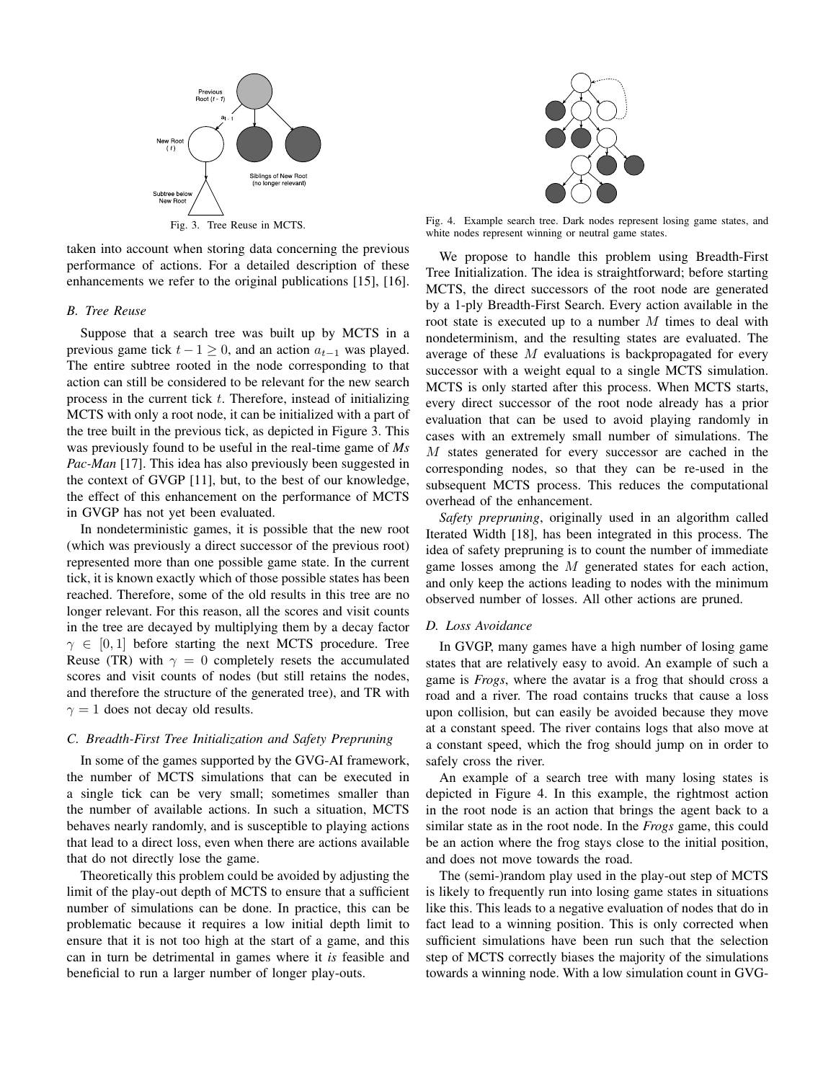

taken into account when storing data concerning the previous performance of actions. For a detailed description of these enhancements we refer to the original publications [15], [16].

#### *B. Tree Reuse*

Suppose that a search tree was built up by MCTS in a previous game tick  $t - 1 \geq 0$ , and an action  $a_{t-1}$  was played. The entire subtree rooted in the node corresponding to that action can still be considered to be relevant for the new search process in the current tick  $t$ . Therefore, instead of initializing MCTS with only a root node, it can be initialized with a part of the tree built in the previous tick, as depicted in Figure 3. This was previously found to be useful in the real-time game of *Ms Pac-Man* [17]. This idea has also previously been suggested in the context of GVGP [11], but, to the best of our knowledge, the effect of this enhancement on the performance of MCTS in GVGP has not yet been evaluated.

In nondeterministic games, it is possible that the new root (which was previously a direct successor of the previous root) represented more than one possible game state. In the current tick, it is known exactly which of those possible states has been reached. Therefore, some of the old results in this tree are no longer relevant. For this reason, all the scores and visit counts in the tree are decayed by multiplying them by a decay factor  $\gamma \in [0, 1]$  before starting the next MCTS procedure. Tree Reuse (TR) with  $\gamma = 0$  completely resets the accumulated scores and visit counts of nodes (but still retains the nodes, and therefore the structure of the generated tree), and TR with  $\gamma = 1$  does not decay old results.

## *C. Breadth-First Tree Initialization and Safety Prepruning*

In some of the games supported by the GVG-AI framework, the number of MCTS simulations that can be executed in a single tick can be very small; sometimes smaller than the number of available actions. In such a situation, MCTS behaves nearly randomly, and is susceptible to playing actions that lead to a direct loss, even when there are actions available that do not directly lose the game.

Theoretically this problem could be avoided by adjusting the limit of the play-out depth of MCTS to ensure that a sufficient number of simulations can be done. In practice, this can be problematic because it requires a low initial depth limit to ensure that it is not too high at the start of a game, and this can in turn be detrimental in games where it *is* feasible and beneficial to run a larger number of longer play-outs.



Fig. 4. Example search tree. Dark nodes represent losing game states, and white nodes represent winning or neutral game states.

We propose to handle this problem using Breadth-First Tree Initialization. The idea is straightforward; before starting MCTS, the direct successors of the root node are generated by a 1-ply Breadth-First Search. Every action available in the root state is executed up to a number  $M$  times to deal with nondeterminism, and the resulting states are evaluated. The average of these M evaluations is backpropagated for every successor with a weight equal to a single MCTS simulation. MCTS is only started after this process. When MCTS starts, every direct successor of the root node already has a prior evaluation that can be used to avoid playing randomly in cases with an extremely small number of simulations. The M states generated for every successor are cached in the corresponding nodes, so that they can be re-used in the subsequent MCTS process. This reduces the computational overhead of the enhancement.

*Safety prepruning*, originally used in an algorithm called Iterated Width [18], has been integrated in this process. The idea of safety prepruning is to count the number of immediate game losses among the  $M$  generated states for each action, and only keep the actions leading to nodes with the minimum observed number of losses. All other actions are pruned.

#### *D. Loss Avoidance*

In GVGP, many games have a high number of losing game states that are relatively easy to avoid. An example of such a game is *Frogs*, where the avatar is a frog that should cross a road and a river. The road contains trucks that cause a loss upon collision, but can easily be avoided because they move at a constant speed. The river contains logs that also move at a constant speed, which the frog should jump on in order to safely cross the river.

An example of a search tree with many losing states is depicted in Figure 4. In this example, the rightmost action in the root node is an action that brings the agent back to a similar state as in the root node. In the *Frogs* game, this could be an action where the frog stays close to the initial position, and does not move towards the road.

The (semi-)random play used in the play-out step of MCTS is likely to frequently run into losing game states in situations like this. This leads to a negative evaluation of nodes that do in fact lead to a winning position. This is only corrected when sufficient simulations have been run such that the selection step of MCTS correctly biases the majority of the simulations towards a winning node. With a low simulation count in GVG-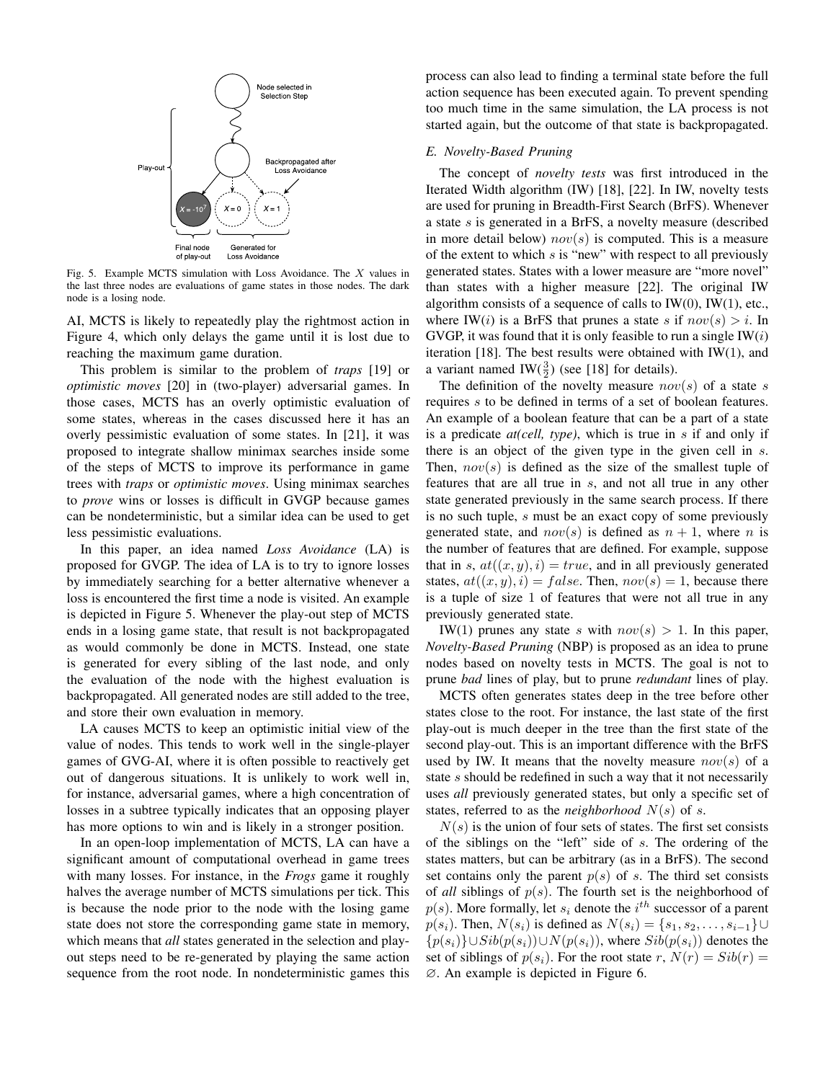

Fig. 5. Example MCTS simulation with Loss Avoidance. The X values in the last three nodes are evaluations of game states in those nodes. The dark node is a losing node.

AI, MCTS is likely to repeatedly play the rightmost action in Figure 4, which only delays the game until it is lost due to reaching the maximum game duration.

This problem is similar to the problem of *traps* [19] or *optimistic moves* [20] in (two-player) adversarial games. In those cases, MCTS has an overly optimistic evaluation of some states, whereas in the cases discussed here it has an overly pessimistic evaluation of some states. In [21], it was proposed to integrate shallow minimax searches inside some of the steps of MCTS to improve its performance in game trees with *traps* or *optimistic moves*. Using minimax searches to *prove* wins or losses is difficult in GVGP because games can be nondeterministic, but a similar idea can be used to get less pessimistic evaluations.

In this paper, an idea named *Loss Avoidance* (LA) is proposed for GVGP. The idea of LA is to try to ignore losses by immediately searching for a better alternative whenever a loss is encountered the first time a node is visited. An example is depicted in Figure 5. Whenever the play-out step of MCTS ends in a losing game state, that result is not backpropagated as would commonly be done in MCTS. Instead, one state is generated for every sibling of the last node, and only the evaluation of the node with the highest evaluation is backpropagated. All generated nodes are still added to the tree, and store their own evaluation in memory.

LA causes MCTS to keep an optimistic initial view of the value of nodes. This tends to work well in the single-player games of GVG-AI, where it is often possible to reactively get out of dangerous situations. It is unlikely to work well in, for instance, adversarial games, where a high concentration of losses in a subtree typically indicates that an opposing player has more options to win and is likely in a stronger position.

In an open-loop implementation of MCTS, LA can have a significant amount of computational overhead in game trees with many losses. For instance, in the *Frogs* game it roughly halves the average number of MCTS simulations per tick. This is because the node prior to the node with the losing game state does not store the corresponding game state in memory, which means that *all* states generated in the selection and playout steps need to be re-generated by playing the same action sequence from the root node. In nondeterministic games this process can also lead to finding a terminal state before the full action sequence has been executed again. To prevent spending too much time in the same simulation, the LA process is not started again, but the outcome of that state is backpropagated.

#### *E. Novelty-Based Pruning*

The concept of *novelty tests* was first introduced in the Iterated Width algorithm (IW) [18], [22]. In IW, novelty tests are used for pruning in Breadth-First Search (BrFS). Whenever a state s is generated in a BrFS, a novelty measure (described in more detail below)  $nov(s)$  is computed. This is a measure of the extent to which  $s$  is "new" with respect to all previously generated states. States with a lower measure are "more novel" than states with a higher measure [22]. The original IW algorithm consists of a sequence of calls to  $IW(0)$ ,  $IW(1)$ , etc., where IW(i) is a BrFS that prunes a state s if  $nov(s) > i$ . In GVGP, it was found that it is only feasible to run a single  $IW(i)$ iteration [18]. The best results were obtained with  $IW(1)$ , and a variant named IW( $\frac{3}{2}$ ) (see [18] for details).

The definition of the novelty measure  $nov(s)$  of a state s requires s to be defined in terms of a set of boolean features. An example of a boolean feature that can be a part of a state is a predicate *at(cell, type)*, which is true in s if and only if there is an object of the given type in the given cell in s. Then,  $nov(s)$  is defined as the size of the smallest tuple of features that are all true in s, and not all true in any other state generated previously in the same search process. If there is no such tuple, s must be an exact copy of some previously generated state, and  $nov(s)$  is defined as  $n + 1$ , where n is the number of features that are defined. For example, suppose that in s,  $at((x, y), i) = true$ , and in all previously generated states,  $at((x, y), i) = false$ . Then,  $nov(s) = 1$ , because there is a tuple of size 1 of features that were not all true in any previously generated state.

IW(1) prunes any state s with  $nov(s) > 1$ . In this paper, *Novelty-Based Pruning* (NBP) is proposed as an idea to prune nodes based on novelty tests in MCTS. The goal is not to prune *bad* lines of play, but to prune *redundant* lines of play.

MCTS often generates states deep in the tree before other states close to the root. For instance, the last state of the first play-out is much deeper in the tree than the first state of the second play-out. This is an important difference with the BrFS used by IW. It means that the novelty measure  $nov(s)$  of a state s should be redefined in such a way that it not necessarily uses *all* previously generated states, but only a specific set of states, referred to as the *neighborhood*  $N(s)$  of s.

 $N(s)$  is the union of four sets of states. The first set consists of the siblings on the "left" side of s. The ordering of the states matters, but can be arbitrary (as in a BrFS). The second set contains only the parent  $p(s)$  of s. The third set consists of *all* siblings of  $p(s)$ . The fourth set is the neighborhood of  $p(s)$ . More formally, let  $s_i$  denote the  $i^{th}$  successor of a parent  $p(s_i)$ . Then,  $N(s_i)$  is defined as  $N(s_i) = \{s_1, s_2, \ldots, s_{i-1}\} \cup$  ${p(s_i)}\cup Sib(p(s_i))\cup N(p(s_i))$ , where  $Sib(p(s_i))$  denotes the set of siblings of  $p(s_i)$ . For the root state r,  $N(r) = Sib(r)$ ∅. An example is depicted in Figure 6.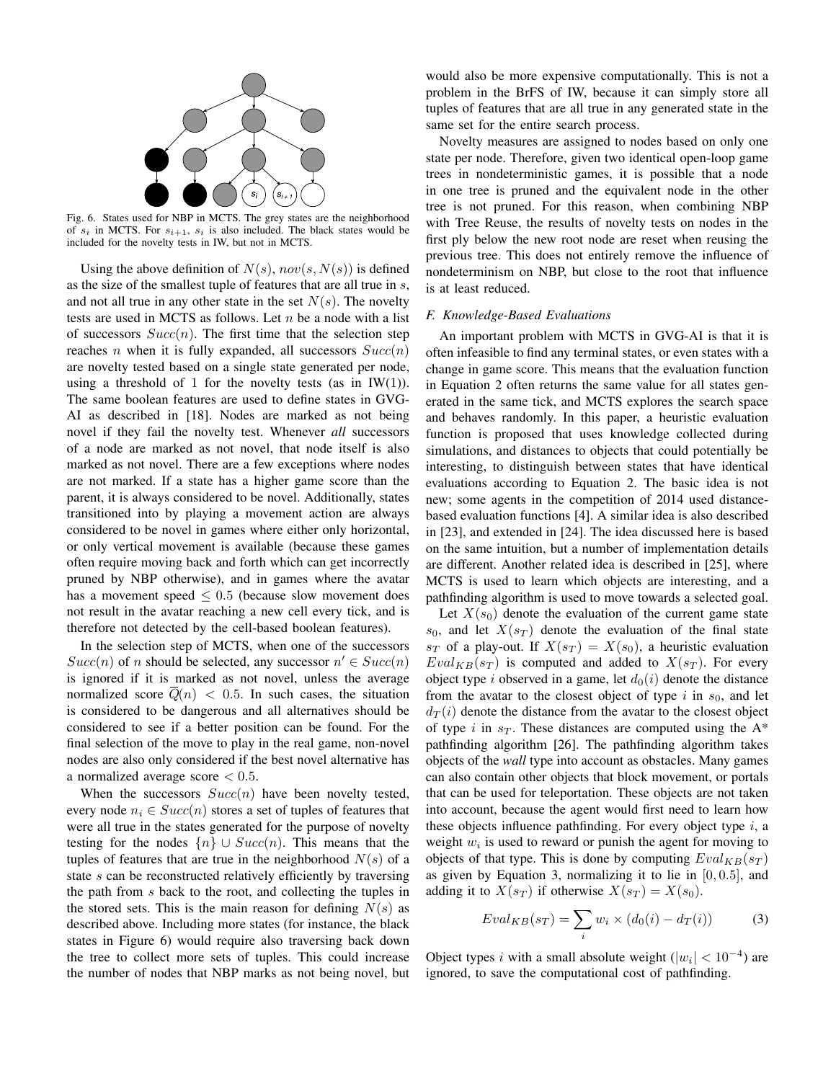

Fig. 6. States used for NBP in MCTS. The grey states are the neighborhood of  $s_i$  in MCTS. For  $s_{i+1}$ ,  $s_i$  is also included. The black states would be included for the novelty tests in IW, but not in MCTS.

Using the above definition of  $N(s)$ ,  $nov(s, N(s))$  is defined as the size of the smallest tuple of features that are all true in s, and not all true in any other state in the set  $N(s)$ . The novelty tests are used in MCTS as follows. Let  $n$  be a node with a list of successors  $Succ(n)$ . The first time that the selection step reaches *n* when it is fully expanded, all successors  $Succ(n)$ are novelty tested based on a single state generated per node, using a threshold of 1 for the novelty tests (as in  $IW(1)$ ). The same boolean features are used to define states in GVG-AI as described in [18]. Nodes are marked as not being novel if they fail the novelty test. Whenever *all* successors of a node are marked as not novel, that node itself is also marked as not novel. There are a few exceptions where nodes are not marked. If a state has a higher game score than the parent, it is always considered to be novel. Additionally, states transitioned into by playing a movement action are always considered to be novel in games where either only horizontal, or only vertical movement is available (because these games often require moving back and forth which can get incorrectly pruned by NBP otherwise), and in games where the avatar has a movement speed  $\leq 0.5$  (because slow movement does not result in the avatar reaching a new cell every tick, and is therefore not detected by the cell-based boolean features).

In the selection step of MCTS, when one of the successors  $Succ(n)$  of n should be selected, any successor  $n' \in Succ(n)$ is ignored if it is marked as not novel, unless the average normalized score  $Q(n)$  < 0.5. In such cases, the situation is considered to be dangerous and all alternatives should be considered to see if a better position can be found. For the final selection of the move to play in the real game, non-novel nodes are also only considered if the best novel alternative has a normalized average score  $< 0.5$ .

When the successors  $Succ(n)$  have been novelty tested, every node  $n_i \in Succ(n)$  stores a set of tuples of features that were all true in the states generated for the purpose of novelty testing for the nodes  $\{n\} \cup Succ(n)$ . This means that the tuples of features that are true in the neighborhood  $N(s)$  of a state s can be reconstructed relatively efficiently by traversing the path from s back to the root, and collecting the tuples in the stored sets. This is the main reason for defining  $N(s)$  as described above. Including more states (for instance, the black states in Figure 6) would require also traversing back down the tree to collect more sets of tuples. This could increase the number of nodes that NBP marks as not being novel, but

would also be more expensive computationally. This is not a problem in the BrFS of IW, because it can simply store all tuples of features that are all true in any generated state in the same set for the entire search process.

Novelty measures are assigned to nodes based on only one state per node. Therefore, given two identical open-loop game trees in nondeterministic games, it is possible that a node in one tree is pruned and the equivalent node in the other tree is not pruned. For this reason, when combining NBP with Tree Reuse, the results of novelty tests on nodes in the first ply below the new root node are reset when reusing the previous tree. This does not entirely remove the influence of nondeterminism on NBP, but close to the root that influence is at least reduced.

### *F. Knowledge-Based Evaluations*

An important problem with MCTS in GVG-AI is that it is often infeasible to find any terminal states, or even states with a change in game score. This means that the evaluation function in Equation 2 often returns the same value for all states generated in the same tick, and MCTS explores the search space and behaves randomly. In this paper, a heuristic evaluation function is proposed that uses knowledge collected during simulations, and distances to objects that could potentially be interesting, to distinguish between states that have identical evaluations according to Equation 2. The basic idea is not new; some agents in the competition of 2014 used distancebased evaluation functions [4]. A similar idea is also described in [23], and extended in [24]. The idea discussed here is based on the same intuition, but a number of implementation details are different. Another related idea is described in [25], where MCTS is used to learn which objects are interesting, and a pathfinding algorithm is used to move towards a selected goal.

Let  $X(s_0)$  denote the evaluation of the current game state  $s_0$ , and let  $X(s_T)$  denote the evaluation of the final state  $s_T$  of a play-out. If  $X(s_T) = X(s_0)$ , a heuristic evaluation  $Eval_{KB}(s_T)$  is computed and added to  $X(s_T)$ . For every object type i observed in a game, let  $d_0(i)$  denote the distance from the avatar to the closest object of type  $i$  in  $s<sub>0</sub>$ , and let  $d_T(i)$  denote the distance from the avatar to the closest object of type i in  $s_T$ . These distances are computed using the  $A^*$ pathfinding algorithm [26]. The pathfinding algorithm takes objects of the *wall* type into account as obstacles. Many games can also contain other objects that block movement, or portals that can be used for teleportation. These objects are not taken into account, because the agent would first need to learn how these objects influence pathfinding. For every object type  $i$ , a weight  $w_i$  is used to reward or punish the agent for moving to objects of that type. This is done by computing  $Eval_{KB}(s_T)$ as given by Equation 3, normalizing it to lie in  $[0, 0.5]$ , and adding it to  $X(s_T)$  if otherwise  $X(s_T) = X(s_0)$ .

$$
Eval_{KB}(s_T) = \sum_{i} w_i \times (d_0(i) - d_T(i)) \tag{3}
$$

Object types i with a small absolute weight  $(|w_i| < 10^{-4})$  are ignored, to save the computational cost of pathfinding.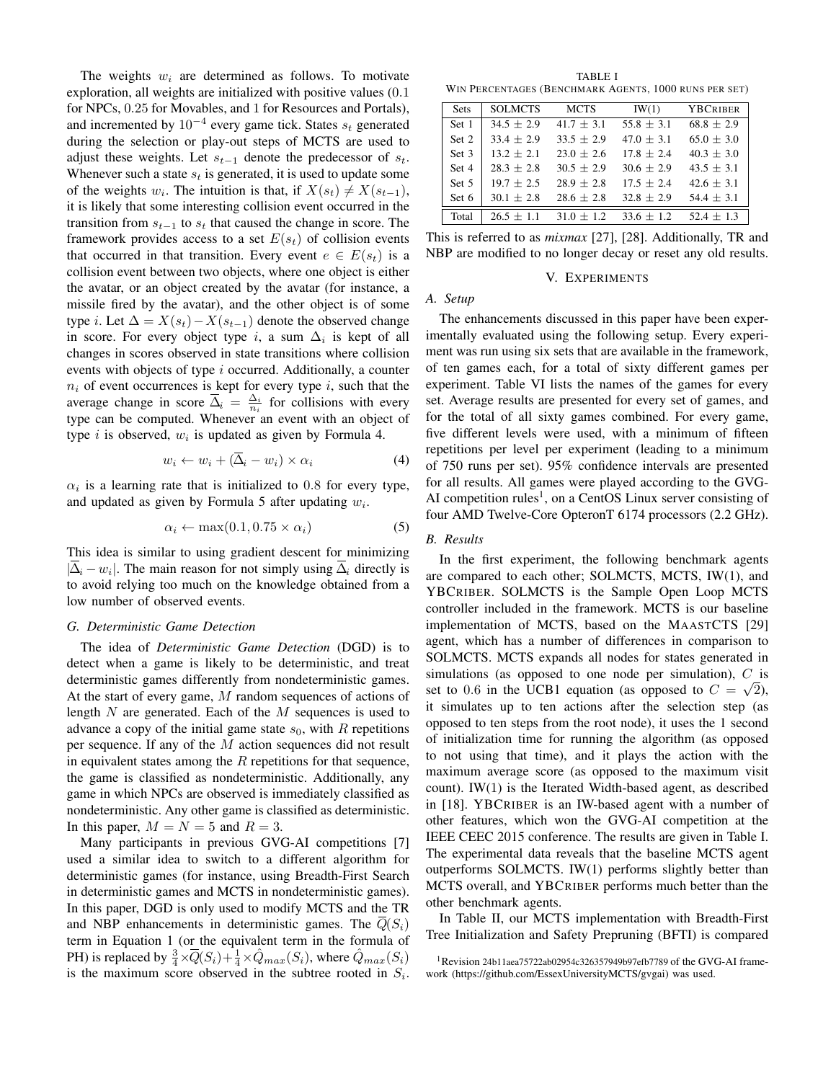The weights  $w_i$  are determined as follows. To motivate exploration, all weights are initialized with positive values (0.1 for NPCs, 0.25 for Movables, and 1 for Resources and Portals), and incremented by  $10^{-4}$  every game tick. States  $s_t$  generated during the selection or play-out steps of MCTS are used to adjust these weights. Let  $s_{t-1}$  denote the predecessor of  $s_t$ . Whenever such a state  $s_t$  is generated, it is used to update some of the weights  $w_i$ . The intuition is that, if  $X(s_t) \neq X(s_{t-1}),$ it is likely that some interesting collision event occurred in the transition from  $s_{t-1}$  to  $s_t$  that caused the change in score. The framework provides access to a set  $E(s_t)$  of collision events that occurred in that transition. Every event  $e \in E(s_t)$  is a collision event between two objects, where one object is either the avatar, or an object created by the avatar (for instance, a missile fired by the avatar), and the other object is of some type *i*. Let  $\Delta = X(s_t) - X(s_{t-1})$  denote the observed change in score. For every object type i, a sum  $\Delta_i$  is kept of all changes in scores observed in state transitions where collision events with objects of type  $i$  occurred. Additionally, a counter  $n_i$  of event occurrences is kept for every type i, such that the average change in score  $\overline{\Delta}_i = \frac{\Delta_i}{n_i}$  for collisions with every type can be computed. Whenever an event with an object of type  $i$  is observed,  $w_i$  is updated as given by Formula 4.

$$
w_i \leftarrow w_i + (\overline{\Delta}_i - w_i) \times \alpha_i \tag{4}
$$

 $\alpha_i$  is a learning rate that is initialized to 0.8 for every type, and updated as given by Formula 5 after updating  $w_i$ .

$$
\alpha_i \leftarrow \max(0.1, 0.75 \times \alpha_i) \tag{5}
$$

This idea is similar to using gradient descent for minimizing  $|\Delta_i - w_i|$ . The main reason for not simply using  $\Delta_i$  directly is to avoid relying too much on the knowledge obtained from a low number of observed events.

#### *G. Deterministic Game Detection*

The idea of *Deterministic Game Detection* (DGD) is to detect when a game is likely to be deterministic, and treat deterministic games differently from nondeterministic games. At the start of every game, M random sequences of actions of length  $N$  are generated. Each of the  $M$  sequences is used to advance a copy of the initial game state  $s_0$ , with R repetitions per sequence. If any of the M action sequences did not result in equivalent states among the  $R$  repetitions for that sequence, the game is classified as nondeterministic. Additionally, any game in which NPCs are observed is immediately classified as nondeterministic. Any other game is classified as deterministic. In this paper,  $M = N = 5$  and  $R = 3$ .

Many participants in previous GVG-AI competitions [7] used a similar idea to switch to a different algorithm for deterministic games (for instance, using Breadth-First Search in deterministic games and MCTS in nondeterministic games). In this paper, DGD is only used to modify MCTS and the TR and NBP enhancements in deterministic games. The  $Q(S_i)$ term in Equation 1 (or the equivalent term in the formula of PH) is replaced by  $\frac{3}{4} \times \overline{Q}(S_i) + \frac{1}{4} \times \hat{Q}_{max}(S_i)$ , where  $\hat{Q}_{max}(S_i)$ is the maximum score observed in the subtree rooted in  $S_i$ .

TABLE I WIN PERCENTAGES (BENCHMARK AGENTS, 1000 RUNS PER SET)

| <b>Sets</b> | <b>SOLMCTS</b> | <b>MCTS</b>  | IW(1)        | YBCRIBER       |
|-------------|----------------|--------------|--------------|----------------|
| Set 1       | $34.5 + 2.9$   | $41.7 + 3.1$ | $55.8 + 3.1$ | $68.8 \pm 2.9$ |
| Set 2       | $33.4 + 2.9$   | $33.5 + 2.9$ | $47.0 + 3.1$ | $65.0 + 3.0$   |
| Set 3       | $13.2 + 2.1$   | $23.0 + 2.6$ | $17.8 + 2.4$ | $40.3 + 3.0$   |
| Set 4       | $28.3 + 2.8$   | $30.5 + 2.9$ | $30.6 + 2.9$ | $43.5 \pm 3.1$ |
| Set 5       | $19.7 + 2.5$   | $28.9 + 2.8$ | $17.5 + 2.4$ | $42.6 + 3.1$   |
| Set 6       | $30.1 \pm 2.8$ | $28.6 + 2.8$ | $32.8 + 2.9$ | $54.4 + 3.1$   |
| Total       | $26.5 + 1.1$   | $31.0 + 1.2$ | $33.6 + 1.2$ | $52.4 \pm 1.3$ |

This is referred to as *mixmax* [27], [28]. Additionally, TR and NBP are modified to no longer decay or reset any old results.

## V. EXPERIMENTS

## *A. Setup*

The enhancements discussed in this paper have been experimentally evaluated using the following setup. Every experiment was run using six sets that are available in the framework, of ten games each, for a total of sixty different games per experiment. Table VI lists the names of the games for every set. Average results are presented for every set of games, and for the total of all sixty games combined. For every game, five different levels were used, with a minimum of fifteen repetitions per level per experiment (leading to a minimum of 750 runs per set). 95% confidence intervals are presented for all results. All games were played according to the GVG-AI competition rules<sup>1</sup>, on a CentOS Linux server consisting of four AMD Twelve-Core OpteronT 6174 processors (2.2 GHz).

## *B. Results*

In the first experiment, the following benchmark agents are compared to each other; SOLMCTS, MCTS, IW(1), and YBCRIBER. SOLMCTS is the Sample Open Loop MCTS controller included in the framework. MCTS is our baseline implementation of MCTS, based on the MAASTCTS [29] agent, which has a number of differences in comparison to SOLMCTS. MCTS expands all nodes for states generated in simulations (as opposed to one node per simulation),  $C$  is set to 0.6 in the UCB1 equation (as opposed to  $C = \sqrt{2}$ ), it simulates up to ten actions after the selection step (as opposed to ten steps from the root node), it uses the 1 second of initialization time for running the algorithm (as opposed to not using that time), and it plays the action with the maximum average score (as opposed to the maximum visit count). IW(1) is the Iterated Width-based agent, as described in [18]. YBCRIBER is an IW-based agent with a number of other features, which won the GVG-AI competition at the IEEE CEEC 2015 conference. The results are given in Table I. The experimental data reveals that the baseline MCTS agent outperforms SOLMCTS. IW(1) performs slightly better than MCTS overall, and YBCRIBER performs much better than the other benchmark agents.

In Table II, our MCTS implementation with Breadth-First Tree Initialization and Safety Prepruning (BFTI) is compared

<sup>1</sup>Revision 24b11aea75722ab02954c326357949b97efb7789 of the GVG-AI framework (https://github.com/EssexUniversityMCTS/gvgai) was used.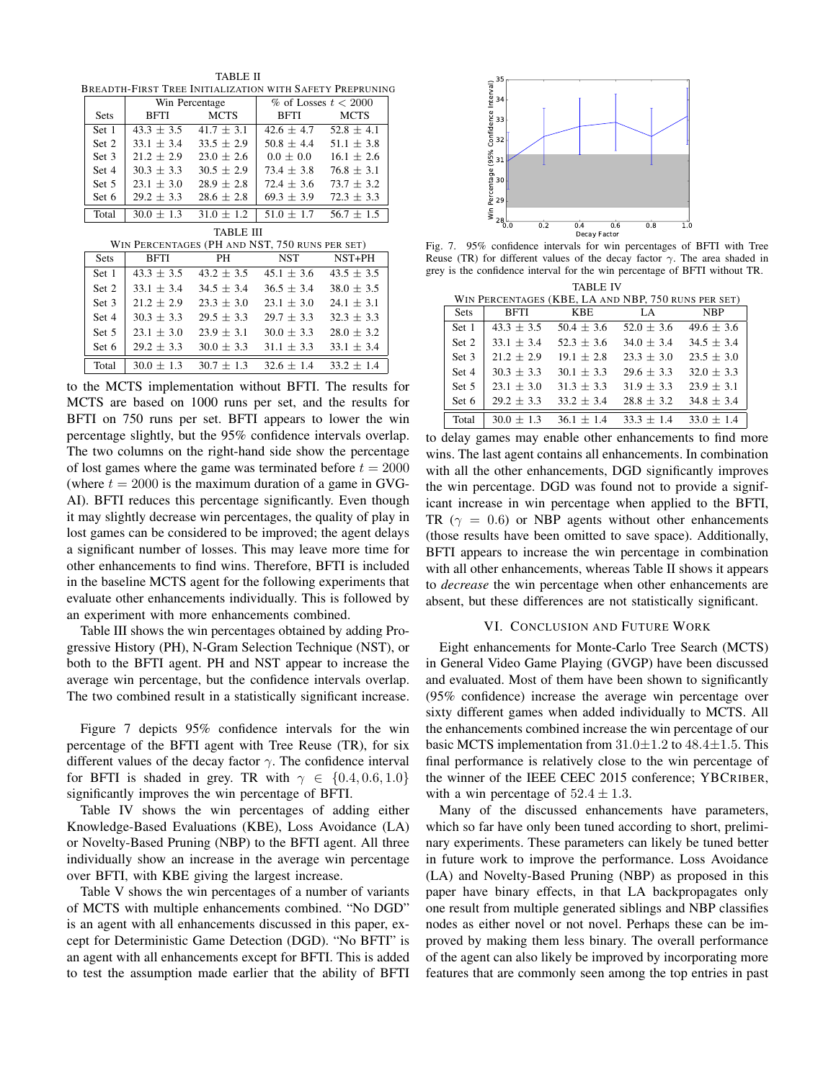TABLE II BREADTH-FIRST TREE INITIALIZATION WITH SAFETY PREPRUNING

|             | Win Percentage |                | % of Losses $t < 2000$ |                |
|-------------|----------------|----------------|------------------------|----------------|
| <b>Sets</b> | BFTI           | <b>MCTS</b>    | BFTI                   | <b>MCTS</b>    |
| Set 1       | $43.3 \pm 3.5$ | $41.7 \pm 3.1$ | $42.6 \pm 4.7$         | $52.8 + 4.1$   |
| Set 2       | $33.1 \pm 3.4$ | $33.5 \pm 2.9$ | $50.8 + 4.4$           | $51.1 \pm 3.8$ |
| Set 3       | $21.2 + 2.9$   | $23.0 + 2.6$   | $0.0 \pm 0.0$          | $16.1 + 2.6$   |
| Set 4       | $30.3 + 3.3$   | $30.5 + 2.9$   | $73.4 + 3.8$           | $76.8 \pm 3.1$ |
| Set 5       | $23.1 \pm 3.0$ | $28.9 \pm 2.8$ | $72.4 + 3.6$           | $73.7 \pm 3.2$ |
| Set 6       | $29.2 \pm 3.3$ | $28.6 \pm 2.8$ | $69.3 \pm 3.9$         | $72.3 \pm 3.3$ |
| Total       | $30.0 \pm 1.3$ | $31.0 \pm 1.2$ | $51.0 \pm 1.7$         | $56.7 \pm 1.5$ |

TABLE III

| WIN PERCENTAGES (PH AND NST, 750 RUNS PER SET) |                |                |                |                |
|------------------------------------------------|----------------|----------------|----------------|----------------|
| <b>Sets</b>                                    | <b>BFTI</b>    | PH             | NST            | NST+PH         |
| Set 1                                          | $43.3 + 3.5$   | $43.2 + 3.5$   | $45.1 \pm 3.6$ | $43.5 \pm 3.5$ |
| Set 2                                          | $33.1 \pm 3.4$ | $34.5 + 3.4$   | $36.5 \pm 3.4$ | $38.0 \pm 3.5$ |
| Set 3                                          | $21.2 \pm 2.9$ | $23.3 + 3.0$   | $23.1 + 3.0$   | $24.1 + 3.1$   |
| Set 4                                          | $30.3 \pm 3.3$ | $29.5 \pm 3.3$ | $29.7 + 3.3$   | $32.3 + 3.3$   |
| Set 5                                          | $23.1 \pm 3.0$ | $23.9 + 3.1$   | $30.0 + 3.3$   | $28.0 \pm 3.2$ |
| Set 6                                          | $29.2 \pm 3.3$ | $30.0 + 3.3$   | $31.1 \pm 3.3$ | $33.1 \pm 3.4$ |
| Total                                          | $30.0 \pm 1.3$ | $30.7 \pm 1.3$ | $32.6 + 1.4$   | $33.2 \pm 1.4$ |

to the MCTS implementation without BFTI. The results for MCTS are based on 1000 runs per set, and the results for BFTI on 750 runs per set. BFTI appears to lower the win percentage slightly, but the 95% confidence intervals overlap. The two columns on the right-hand side show the percentage of lost games where the game was terminated before  $t = 2000$ (where  $t = 2000$  is the maximum duration of a game in GVG-AI). BFTI reduces this percentage significantly. Even though it may slightly decrease win percentages, the quality of play in lost games can be considered to be improved; the agent delays a significant number of losses. This may leave more time for other enhancements to find wins. Therefore, BFTI is included in the baseline MCTS agent for the following experiments that evaluate other enhancements individually. This is followed by an experiment with more enhancements combined.

Table III shows the win percentages obtained by adding Progressive History (PH), N-Gram Selection Technique (NST), or both to the BFTI agent. PH and NST appear to increase the average win percentage, but the confidence intervals overlap. The two combined result in a statistically significant increase.

Figure 7 depicts 95% confidence intervals for the win percentage of the BFTI agent with Tree Reuse (TR), for six different values of the decay factor  $\gamma$ . The confidence interval for BFTI is shaded in grey. TR with  $\gamma \in \{0.4, 0.6, 1.0\}$ significantly improves the win percentage of BFTI.

Table IV shows the win percentages of adding either Knowledge-Based Evaluations (KBE), Loss Avoidance (LA) or Novelty-Based Pruning (NBP) to the BFTI agent. All three individually show an increase in the average win percentage over BFTI, with KBE giving the largest increase.

Table V shows the win percentages of a number of variants of MCTS with multiple enhancements combined. "No DGD" is an agent with all enhancements discussed in this paper, except for Deterministic Game Detection (DGD). "No BFTI" is an agent with all enhancements except for BFTI. This is added to test the assumption made earlier that the ability of BFTI



Fig. 7. 95% confidence intervals for win percentages of BFTI with Tree Reuse (TR) for different values of the decay factor  $\gamma$ . The area shaded in grey is the confidence interval for the win percentage of BFTI without TR. TABLE IV

| TA DIJE TV |                                                     |                |              |                |
|------------|-----------------------------------------------------|----------------|--------------|----------------|
|            | WIN PERCENTAGES (KBE, LA AND NBP, 750 RUNS PER SET) |                |              |                |
| Sets       | BFTI                                                | <b>KBE</b>     | LA.          | <b>NBP</b>     |
| Set 1      | $43.3 + 3.5$                                        | $50.4 + 3.6$   | $52.0 + 3.6$ | $49.6 + 3.6$   |
| Set 2      | $33.1 \pm 3.4$                                      | $52.3 + 3.6$   | $34.0 + 3.4$ | $34.5 \pm 3.4$ |
| Set 3      | $21.2 + 2.9$                                        | $19.1 + 2.8$   | $23.3 + 3.0$ | $23.5 + 3.0$   |
| Set 4      | $30.3 + 3.3$                                        | $30.1 + 3.3$   | $29.6 + 3.3$ | $32.0 + 3.3$   |
| Set 5      | $23.1 \pm 3.0$                                      | $31.3 + 3.3$   | $31.9 + 3.3$ | $23.9 + 3.1$   |
| Set 6      | $29.2 + 3.3$                                        | $33.2 + 3.4$   | $28.8 + 3.2$ | $34.8 + 3.4$   |
| Total      | $30.0 \pm 1.3$                                      | $36.1 \pm 1.4$ | $33.3 + 1.4$ | $33.0 \pm 1.4$ |

to delay games may enable other enhancements to find more wins. The last agent contains all enhancements. In combination with all the other enhancements, DGD significantly improves the win percentage. DGD was found not to provide a significant increase in win percentage when applied to the BFTI, TR ( $\gamma = 0.6$ ) or NBP agents without other enhancements (those results have been omitted to save space). Additionally, BFTI appears to increase the win percentage in combination with all other enhancements, whereas Table II shows it appears to *decrease* the win percentage when other enhancements are absent, but these differences are not statistically significant.

#### VI. CONCLUSION AND FUTURE WORK

Eight enhancements for Monte-Carlo Tree Search (MCTS) in General Video Game Playing (GVGP) have been discussed and evaluated. Most of them have been shown to significantly (95% confidence) increase the average win percentage over sixty different games when added individually to MCTS. All the enhancements combined increase the win percentage of our basic MCTS implementation from  $31.0\pm1.2$  to  $48.4\pm1.5$ . This final performance is relatively close to the win percentage of the winner of the IEEE CEEC 2015 conference; YBCRIBER, with a win percentage of  $52.4 \pm 1.3$ .

Many of the discussed enhancements have parameters, which so far have only been tuned according to short, preliminary experiments. These parameters can likely be tuned better in future work to improve the performance. Loss Avoidance (LA) and Novelty-Based Pruning (NBP) as proposed in this paper have binary effects, in that LA backpropagates only one result from multiple generated siblings and NBP classifies nodes as either novel or not novel. Perhaps these can be improved by making them less binary. The overall performance of the agent can also likely be improved by incorporating more features that are commonly seen among the top entries in past